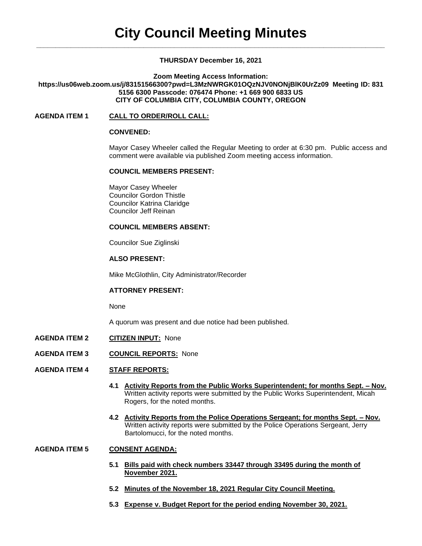## **THURSDAY December 16, 2021**

**Zoom Meeting Access Information:**

## **https://us06web.zoom.us/j/83151566300?pwd=L3MzNWRGK01OQzNJV0NONjBlK0UrZz09 Meeting ID: 831 5156 6300 Passcode: 076474 Phone: +1 669 900 6833 US CITY OF COLUMBIA CITY, COLUMBIA COUNTY, OREGON**

## **AGENDA ITEM 1 CALL TO ORDER/ROLL CALL:**

#### **CONVENED:**

Mayor Casey Wheeler called the Regular Meeting to order at 6:30 pm. Public access and comment were available via published Zoom meeting access information.

### **COUNCIL MEMBERS PRESENT:**

Mayor Casey Wheeler Councilor Gordon Thistle Councilor Katrina Claridge Councilor Jeff Reinan

## **COUNCIL MEMBERS ABSENT:**

Councilor Sue Ziglinski

### **ALSO PRESENT:**

Mike McGlothlin, City Administrator/Recorder

### **ATTORNEY PRESENT:**

None

A quorum was present and due notice had been published.

- **AGENDA ITEM 2 CITIZEN INPUT:** None
- **AGENDA ITEM 3 COUNCIL REPORTS:** None

## **AGENDA ITEM 4 STAFF REPORTS:**

- **4.1 Activity Reports from the Public Works Superintendent; for months Sept. – Nov.** Written activity reports were submitted by the Public Works Superintendent, Micah Rogers, for the noted months.
- **4.2 Activity Reports from the Police Operations Sergeant; for months Sept. – Nov.** Written activity reports were submitted by the Police Operations Sergeant, Jerry Bartolomucci, for the noted months.

## **AGENDA ITEM 5 CONSENT AGENDA:**

- **5.1 Bills paid with check numbers 33447 through 33495 during the month of November 2021.**
- **5.2 Minutes of the November 18, 2021 Regular City Council Meeting.**
- **5.3 Expense v. Budget Report for the period ending November 30, 2021.**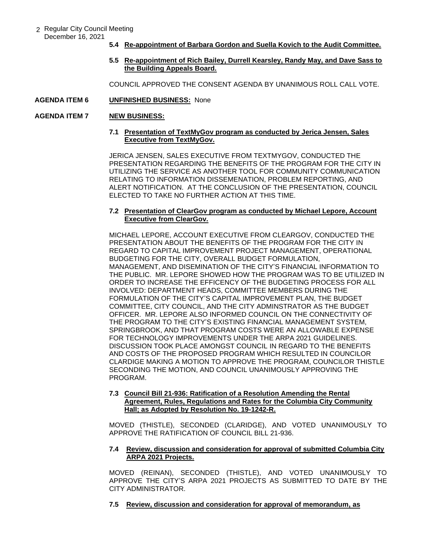- 2 Regular City Council Meeting December 16, 2021
	- **5.4 Re-appointment of Barbara Gordon and Suella Kovich to the Audit Committee.**
	- **5.5 Re-appointment of Rich Bailey, Durrell Kearsley, Randy May, and Dave Sass to the Building Appeals Board.**

COUNCIL APPROVED THE CONSENT AGENDA BY UNANIMOUS ROLL CALL VOTE.

### **AGENDA ITEM 6 UNFINISHED BUSINESS:** None

## **AGENDA ITEM 7 NEW BUSINESS:**

### **7.1 Presentation of TextMyGov program as conducted by Jerica Jensen, Sales Executive from TextMyGov.**

JERICA JENSEN, SALES EXECUTIVE FROM TEXTMYGOV, CONDUCTED THE PRESENTATION REGARDING THE BENEFITS OF THE PROGRAM FOR THE CITY IN UTILIZING THE SERVICE AS ANOTHER TOOL FOR COMMUNITY COMMUNICATION RELATING TO INFORMATION DISSEMENATION, PROBLEM REPORTING, AND ALERT NOTIFICATION. AT THE CONCLUSION OF THE PRESENTATION, COUNCIL ELECTED TO TAKE NO FURTHER ACTION AT THIS TIME.

## **7.2 Presentation of ClearGov program as conducted by Michael Lepore, Account Executive from ClearGov.**

MICHAEL LEPORE, ACCOUNT EXECUTIVE FROM CLEARGOV, CONDUCTED THE PRESENTATION ABOUT THE BENEFITS OF THE PROGRAM FOR THE CITY IN REGARD TO CAPITAL IMPROVEMENT PROJECT MANAGEMENT, OPERATIONAL BUDGETING FOR THE CITY, OVERALL BUDGET FORMULATION, MANAGEMENT, AND DISEMINATION OF THE CITY'S FINANCIAL INFORMATION TO THE PUBLIC. MR. LEPORE SHOWED HOW THE PROGRAM WAS TO BE UTILIZED IN ORDER TO INCREASE THE EFFICENCY OF THE BUDGETING PROCESS FOR ALL INVOLVED: DEPARTMENT HEADS, COMMITTEE MEMBERS DURING THE FORMULATION OF THE CITY'S CAPITAL IMPROVEMENT PLAN, THE BUDGET COMMITTEE, CITY COUNCIL, AND THE CITY ADMINSTRATOR AS THE BUDGET OFFICER. MR. LEPORE ALSO INFORMED COUNCIL ON THE CONNECTIVITY OF THE PROGRAM TO THE CITY'S EXISTING FINANCIAL MANAGEMENT SYSTEM, SPRINGBROOK, AND THAT PROGRAM COSTS WERE AN ALLOWABLE EXPENSE FOR TECHNOLOGY IMPROVEMENTS UNDER THE ARPA 2021 GUIDELINES. DISCUSSION TOOK PLACE AMONGST COUNCIL IN REGARD TO THE BENEFITS AND COSTS OF THE PROPOSED PROGRAM WHICH RESULTED IN COUNCILOR CLARDIGE MAKING A MOTION TO APPROVE THE PROGRAM, COUNCILOR THISTLE SECONDING THE MOTION, AND COUNCIL UNANIMOUSLY APPROVING THE PROGRAM.

## **7.3 Council Bill 21-936: Ratification of a Resolution Amending the Rental Agreement, Rules, Regulations and Rates for the Columbia City Community Hall; as Adopted by Resolution No. 19-1242-R.**

MOVED (THISTLE), SECONDED (CLARIDGE), AND VOTED UNANIMOUSLY TO APPROVE THE RATIFICATION OF COUNCIL BILL 21-936.

## **7.4 Review, discussion and consideration for approval of submitted Columbia City ARPA 2021 Projects.**

MOVED (REINAN), SECONDED (THISTLE), AND VOTED UNANIMOUSLY TO APPROVE THE CITY'S ARPA 2021 PROJECTS AS SUBMITTED TO DATE BY THE CITY ADMINISTRATOR.

## **7.5 Review, discussion and consideration for approval of memorandum, as**